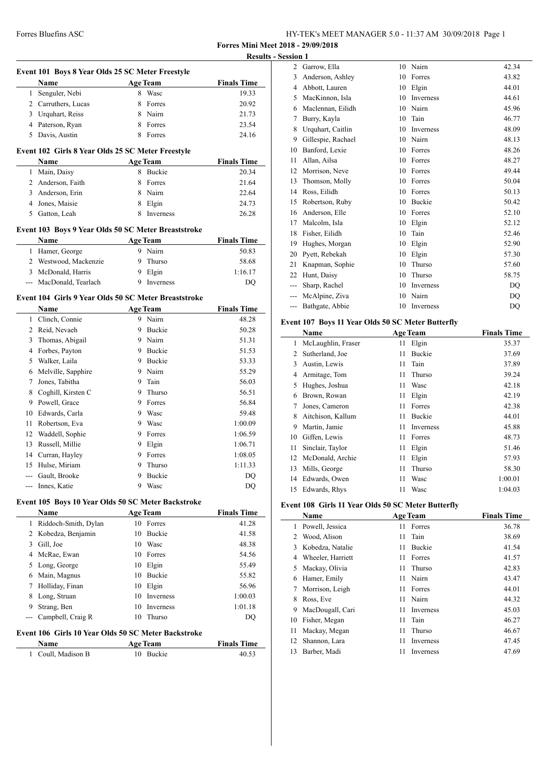**Forres Mini Meet 2018 - 29/09/2018 Results - Ses** 

|   | Event 101 Boys 8 Year Olds 25 SC Meter Freestyle<br>Name<br><b>Age Team</b> |    |                 | <b>Finals Time</b> |
|---|-----------------------------------------------------------------------------|----|-----------------|--------------------|
| 1 | Senguler, Nebi                                                              |    | 8 Wasc          | 19.33              |
|   | 2 Carruthers, Lucas                                                         |    | 8 Forres        | 20.92              |
|   | 3 Urquhart, Reiss                                                           |    | 8 Nairn         | 21.73              |
|   | 4 Paterson, Ryan                                                            |    | 8 Forres        | 23.54              |
|   | 5 Davis, Austin                                                             |    | 8 Forres        | 24.16              |
|   |                                                                             |    |                 |                    |
|   | Event 102 Girls 8 Year Olds 25 SC Meter Freestyle                           |    |                 | <b>Finals Time</b> |
|   | Name                                                                        |    | <b>Age Team</b> |                    |
|   | 1 Main, Daisy                                                               |    | 8 Buckie        | 20.34              |
|   | 2 Anderson, Faith                                                           |    | 8 Forres        | 21.64              |
|   | 3 Anderson, Erin                                                            |    | 8 Nairn         | 22.64              |
|   | 4 Jones, Maisie                                                             |    | 8 Elgin         | 24.73              |
|   | 5 Gatton, Leah                                                              |    | 8 Inverness     | 26.28              |
|   | Event 103 Boys 9 Year Olds 50 SC Meter Breaststroke                         |    |                 |                    |
|   | Name                                                                        |    | <b>Age Team</b> | <b>Finals Time</b> |
|   | 1 Hamer, George                                                             |    | 9 Nairn         | 50.83              |
|   | 2 Westwood, Mackenzie                                                       |    | 9 Thurso        | 58.68              |
|   | 3 McDonald, Harris                                                          |    | 9 Elgin         | 1:16.17            |
|   | --- MacDonald, Tearlach                                                     |    | 9 Inverness     | DQ                 |
|   | Event 104 Girls 9 Year Olds 50 SC Meter Breaststroke                        |    |                 |                    |
|   | Name                                                                        |    | <b>Age Team</b> | <b>Finals Time</b> |
|   | 1 Clinch, Connie                                                            |    | 9 Nairn         | 48.28              |
|   | 2 Reid, Nevaeh                                                              |    | 9 Buckie        | 50.28              |
|   | 3 Thomas, Abigail                                                           |    | 9 Nairn         | 51.31              |
|   | 4 Forbes, Payton                                                            |    | 9 Buckie        | 51.53              |
|   | 5 Walker, Laila                                                             |    | 9 Buckie        | 53.33              |
|   | 6 Melville, Sapphire                                                        |    | 9 Nairn         | 55.29              |
|   | 7 Jones, Tabitha                                                            |    | 9 Tain          | 56.03              |
|   | 8 Coghill, Kirsten C                                                        |    | 9 Thurso        | 56.51              |
|   | 9 Powell, Grace                                                             |    | 9 Forres        | 56.84              |
|   | 10 Edwards, Carla                                                           |    | 9 Wasc          | 59.48              |
|   | 11 Robertson, Eva                                                           |    | 9 Wasc          | 1:00.09            |
|   | 12 Waddell, Sophie                                                          |    | 9 Forres        | 1:06.59            |
|   | 13 Russell, Millie                                                          |    | 9 Elgin         | 1:06.71            |
|   | 14 Curran, Hayley                                                           |    | 9 Forres        | 1:08.05            |
|   | 15 Hulse, Miriam                                                            | 9  | Thurso          | 1:11.33            |
|   | Gault, Brooke                                                               |    | 9 Buckie        | DQ                 |
|   | Innes, Katie                                                                |    | 9 Wasc          | DQ                 |
|   | Event 105 Boys 10 Year Olds 50 SC Meter Backstroke                          |    |                 |                    |
|   | Name                                                                        |    | <b>Age Team</b> | <b>Finals Time</b> |
| 1 | Riddoch-Smith, Dylan                                                        |    | 10 Forres       | 41.28              |
|   | 2 Kobedza, Benjamin                                                         |    | 10 Buckie       | 41.58              |
|   | 3 Gill, Joe                                                                 |    | 10 Wasc         | 48.38              |
|   | 4 McRae, Ewan                                                               |    | 10 Forres       | 54.56              |
|   | 5 Long, George                                                              |    | 10 Elgin        | 55.49              |
|   | 6 Main, Magnus                                                              |    | 10 Buckie       | 55.82              |
|   | 7 Holliday, Finan                                                           |    | 10 Elgin        | 56.96              |
|   | 8 Long, Struan                                                              |    | 10 Inverness    | 1:00.03            |
|   | 9 Strang, Ben                                                               |    | 10 Inverness    | 1:01.18            |
|   | Campbell, Craig R                                                           | 10 | Thurso          | DQ                 |
|   |                                                                             |    |                 |                    |
|   | Event 106 Girls 10 Year Olds 50 SC Meter Backstroke<br>Name                 |    | <b>Age Team</b> | <b>Finals Time</b> |
|   |                                                                             |    |                 | 40.53              |
|   | Coull, Madison B                                                            |    | 10 Buckie       |                    |

| sion 1         |                    |    |                  |       |
|----------------|--------------------|----|------------------|-------|
| $\overline{2}$ | Garrow, Ella       | 10 | Nairn            | 42.34 |
| 3              | Anderson, Ashley   | 10 | Forres           | 43.82 |
| 4              | Abbott, Lauren     | 10 | Elgin            | 44.01 |
| 5              | MacKinnon, Isla    | 10 | <b>Inverness</b> | 44.61 |
| 6              | Maclennan, Eilidh  | 10 | Nairn            | 45.96 |
| 7              | Burry, Kayla       | 10 | Tain             | 46.77 |
| 8              | Urquhart, Caitlin  | 10 | <b>Inverness</b> | 48.09 |
| 9              | Gillespie, Rachael | 10 | Nairn            | 48.13 |
| 10             | Banford, Lexie     | 10 | Forres           | 48.26 |
| 11             | Allan, Ailsa       | 10 | Forres           | 48.27 |
| 12             | Morrison, Neve     | 10 | Forres           | 49.44 |
| 13             | Thomson, Molly     | 10 | Forres           | 50.04 |
| 14             | Ross, Eilidh       | 10 | Forres           | 50.13 |
| 15             | Robertson, Ruby    | 10 | Buckie           | 50.42 |
| 16             | Anderson, Elle     | 10 | Forres           | 52.10 |
| 17             | Malcolm. Isla      | 10 | Elgin            | 52.12 |
| 18             | Fisher, Eilidh     | 10 | Tain             | 52.46 |
| 19             | Hughes, Morgan     | 10 | Elgin            | 52.90 |
| 20             | Pyett, Rebekah     | 10 | Elgin            | 57.30 |
| 21             | Knapman, Sophie    | 10 | Thurso           | 57.60 |
| 22             | Hunt, Daisy        | 10 | Thurso           | 58.75 |
| ---            | Sharp, Rachel      | 10 | Inverness        | DO    |
| $---$          | McAlpine, Ziva     | 10 | Nairn            | DO    |
|                | Bathgate, Abbie    | 10 | Inverness        | DQ    |
|                |                    |    |                  |       |

## **Event 107 Boys 11 Year Olds 50 SC Meter Butterfly**

| Name |                    | <b>Age Team</b> |               | <b>Finals Time</b> |
|------|--------------------|-----------------|---------------|--------------------|
| 1    | McLaughlin, Fraser | 11              | Elgin         | 35.37              |
| 2    | Sutherland, Joe    | 11              | <b>Buckie</b> | 37.69              |
| 3    | Austin, Lewis      | 11              | Tain          | 37.89              |
| 4    | Armitage, Tom      | 11              | Thurso        | 39.24              |
| 5    | Hughes, Joshua     | 11              | Wasc          | 42.18              |
| 6    | Brown, Rowan       | 11              | Elgin         | 42.19              |
| 7    | Jones, Cameron     | 11              | Forres        | 42.38              |
| 8    | Aitchison, Kallum  | 11              | <b>Buckie</b> | 44.01              |
| 9    | Martin, Jamie      | 11              | Inverness     | 45.88              |
| 10   | Giffen, Lewis      | 11              | Forres        | 48.73              |
| 11   | Sinclair, Taylor   | 11              | Elgin         | 51.46              |
| 12   | McDonald, Archie   | 11              | Elgin         | 57.93              |
| 13   | Mills, George      | 11              | Thurso        | 58.30              |
| 14   | Edwards, Owen      | 11              | Wasc          | 1:00.01            |
| 15   | Edwards, Rhys      | 11              | Wasc          | 1:04.03            |

## **Event 108 Girls 11 Year Olds 50 SC Meter Butterfly**

|    | Name              |    | <b>Age Team</b> | <b>Finals Time</b> |
|----|-------------------|----|-----------------|--------------------|
| 1  | Powell, Jessica   | 11 | Forres          | 36.78              |
| 2  | Wood, Alison      | 11 | Tain            | 38.69              |
| 3  | Kobedza, Natalie  | 11 | <b>Buckie</b>   | 41.54              |
| 4  | Wheeler, Harriett | 11 | Forres          | 41.57              |
| 5  | Mackay, Olivia    | 11 | Thurso          | 42.83              |
| 6  | Hamer, Emily      | 11 | Nairn           | 43.47              |
| 7  | Morrison, Leigh   | 11 | Forres          | 44.01              |
| 8  | Ross, Eve         | 11 | Nairn           | 44.32              |
| 9  | MacDougall, Cari  | 11 | Inverness       | 45.03              |
| 10 | Fisher, Megan     | 11 | Tain            | 46.27              |
| 11 | Mackay, Megan     | 11 | Thurso          | 46.67              |
| 12 | Shannon, Lara     | 11 | Inverness       | 47.45              |
| 13 | Barber, Madi      | 11 | Inverness       | 47.69              |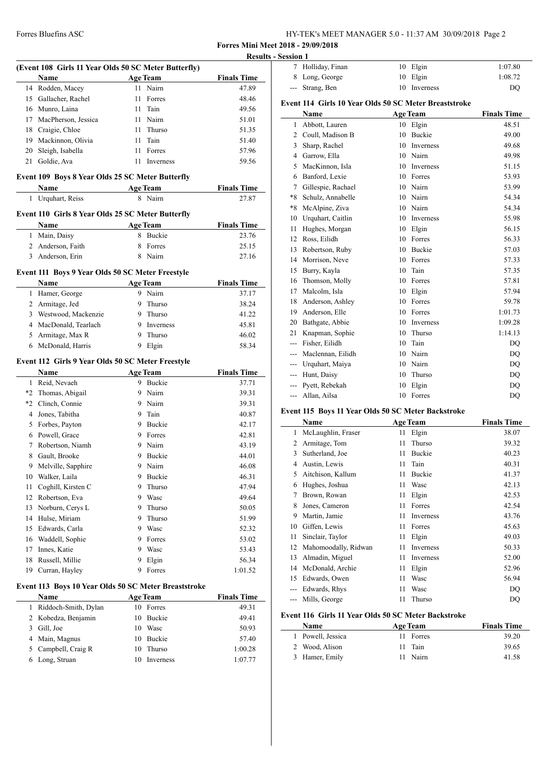| HY-TEK's MEET MANAGER 5.0 - 11:37 AM 30/09/2018 Page 2 |  |
|--------------------------------------------------------|--|
|--------------------------------------------------------|--|

**Forres Mini Meet 2018 - 29/09/2018**

| (Event 108 Girls 11 Year Olds 50 SC Meter Butterfly) |                                                      |                 |                     |                    |
|------------------------------------------------------|------------------------------------------------------|-----------------|---------------------|--------------------|
|                                                      | Name                                                 | <b>Age Team</b> |                     | <b>Finals Time</b> |
|                                                      | 14 Rodden, Macey                                     |                 | 11 Nairn            | 47.89              |
|                                                      | 15 Gallacher, Rachel                                 | 11              | Forres              | 48.46              |
|                                                      | 16 Munro, Laina                                      | 11 -            | Tain                | 49.56              |
|                                                      | 17 MacPherson, Jessica                               |                 | 11 Nairn            | 51.01              |
|                                                      |                                                      |                 |                     |                    |
|                                                      | 18 Craigie, Chloe                                    | 11 -            | Thurso              | 51.35              |
|                                                      | 19 Mackinnon, Olivia                                 |                 | 11 Tain             | 51.40              |
|                                                      | 20 Sleigh, Isabella                                  |                 | 11 Forres           | 57.96              |
|                                                      | 21 Goldie, Ava                                       |                 | 11 Inverness        | 59.56              |
|                                                      | Event 109 Boys 8 Year Olds 25 SC Meter Butterfly     |                 |                     |                    |
|                                                      | Name                                                 |                 | <b>Age Team</b>     | <b>Finals Time</b> |
| 1                                                    | Urquhart, Reiss                                      |                 | 8 Nairn             | 27.87              |
|                                                      | Event 110 Girls 8 Year Olds 25 SC Meter Butterfly    |                 |                     |                    |
|                                                      | Name                                                 | <b>Age Team</b> |                     | <b>Finals Time</b> |
|                                                      | 1 Main, Daisy                                        |                 | 8 Buckie            | 23.76              |
|                                                      | 2 Anderson, Faith                                    |                 | 8 Forres            | 25.15              |
|                                                      | 3 Anderson, Erin                                     |                 | 8 Nairn             | 27.16              |
|                                                      | Event 111 Boys 9 Year Olds 50 SC Meter Freestyle     |                 |                     |                    |
|                                                      | Name                                                 |                 | <b>Age Team</b>     | <b>Finals Time</b> |
|                                                      | 1 Hamer, George                                      |                 | 9 Nairn             | 37.17              |
|                                                      | 2 Armitage, Jed                                      | 9               | Thurso              | 38.24              |
|                                                      | 3 Westwood, Mackenzie                                |                 | 9 Thurso            | 41.22              |
|                                                      | 4 MacDonald, Tearlach                                |                 | 9 Inverness         | 45.81              |
|                                                      |                                                      |                 |                     |                    |
|                                                      | 5 Armitage, Max R                                    |                 | 9 Thurso            | 46.02              |
|                                                      | 6 McDonald, Harris                                   |                 | 9 Elgin             | 58.34              |
|                                                      | Event 112 Girls 9 Year Olds 50 SC Meter Freestyle    |                 |                     |                    |
|                                                      | Name                                                 |                 | <b>Age Team</b>     | <b>Finals Time</b> |
|                                                      |                                                      |                 |                     |                    |
|                                                      | 1 Reid, Nevaeh                                       |                 | 9 Buckie            | 37.71              |
|                                                      |                                                      |                 | 9 Nairn             |                    |
|                                                      | *2 Thomas, Abigail                                   |                 |                     | 39.31              |
|                                                      | *2 Clinch, Connie                                    |                 | 9 Nairn             | 39.31              |
|                                                      | 4 Jones, Tabitha                                     |                 | 9 Tain              | 40.87              |
|                                                      | 5 Forbes, Payton                                     |                 | 9 Buckie            | 42.17              |
|                                                      | 6 Powell, Grace                                      |                 | 9 Forres            | 42.81              |
|                                                      | 7 Robertson, Niamh                                   |                 | 9 Nairn             | 43.19              |
|                                                      | 8 Gault, Brooke                                      |                 | 9 Buckie            | 44.01              |
|                                                      | 9 Melville, Sapphire                                 |                 | 9 Nairn             | 46.08              |
| 10                                                   | Walker, Laila                                        | 9               | Buckie              | 46.31              |
| 11                                                   | Coghill, Kirsten C                                   | 9               | Thurso              | 47.94              |
|                                                      | 12 Robertson, Eva                                    | 9.              | Wasc                | 49.64              |
|                                                      |                                                      | 9.              | Thurso              |                    |
|                                                      | 13 Norburn, Cerys L                                  |                 |                     | 50.05              |
|                                                      | 14 Hulse, Miriam                                     | 9               | Thurso              | 51.99              |
|                                                      | 15 Edwards, Carla                                    | 9.              | Wasc                | 52.32              |
| 16                                                   | Waddell, Sophie                                      | 9               | Forres              | 53.02              |
| 17                                                   | Innes, Katie                                         | 9               | Wasc                | 53.43              |
| 18                                                   | Russell, Millie                                      | 9               | Elgin               | 56.34              |
|                                                      | 19 Curran, Hayley                                    | 9               | Forres              | 1:01.52            |
|                                                      | Event 113 Boys 10 Year Olds 50 SC Meter Breaststroke |                 |                     |                    |
|                                                      | Name                                                 | <b>Age Team</b> |                     | <b>Finals Time</b> |
|                                                      |                                                      |                 | 10 Forres           | 49.31              |
|                                                      | 1 Riddoch-Smith, Dylan                               |                 |                     |                    |
|                                                      | 2 Kobedza, Benjamin                                  | 10              | Buckie              | 49.41              |
| 3                                                    | Gill, Joe                                            |                 | 10 Wasc             | 50.93              |
|                                                      | 4 Main, Magnus                                       | 10              | Buckie              | 57.40              |
| 5<br>6                                               | Campbell, Craig R<br>Long, Struan                    | 10<br>10        | Thurso<br>Inverness | 1:00.28<br>1:07.77 |

|              | <b>Results - Session 1</b> |                                                       |    |                  |                    |
|--------------|----------------------------|-------------------------------------------------------|----|------------------|--------------------|
|              | 7                          | Holliday, Finan                                       | 10 | Elgin            | 1:07.80            |
| 'im <u>e</u> | 8                          | Long, George                                          | 10 | Elgin            | 1:08.72            |
| 7.89         | ---                        | Strang, Ben                                           | 10 | Inverness        | DO                 |
| 3.46<br>9.56 |                            | Event 114 Girls 10 Year Olds 50 SC Meter Breaststroke |    |                  |                    |
| 1.01         |                            | Name                                                  |    | <b>Age Team</b>  | <b>Finals Time</b> |
| 1.35         | $\mathbf{1}$               | Abbott, Lauren                                        |    | 10 Elgin         | 48.51              |
| 1.40         | 2                          | Coull, Madison B                                      | 10 | Buckie           | 49.00              |
|              | 3                          | Sharp, Rachel                                         | 10 | Inverness        | 49.68              |
|              | 4                          | Garrow, Ella                                          | 10 | Nairn            | 49.98              |
|              | 5                          | MacKinnon, Isla                                       | 10 | <b>Inverness</b> | 51.15              |
|              | 6                          | Banford, Lexie                                        | 10 | Forres           | 53.93              |
|              | 7                          | Gillespie, Rachael                                    | 10 | Nairn            | 53.99              |
|              | *8                         | Schulz, Annabelle                                     | 10 | Nairn            | 54.34              |
|              | $*8$                       | McAlpine, Ziva                                        | 10 | Nairn            | 54.34              |
|              | 10                         | Urquhart, Caitlin                                     | 10 | Inverness        | 55.98              |
|              | 11                         | Hughes, Morgan                                        | 10 | Elgin            | 56.15              |
|              | 12                         | Ross, Eilidh                                          | 10 | Forres           | 56.33              |
|              | 13                         | Robertson, Ruby                                       | 10 | <b>Buckie</b>    | 57.03              |
|              | 14                         | Morrison, Neve                                        | 10 | Forres           | 57.33              |
|              | 15                         | Burry, Kayla                                          | 10 | Tain             | 57.35              |
|              | 16                         | Thomson, Molly                                        | 10 | Forres           | 57.81              |
|              | 17                         | Malcolm, Isla                                         | 10 | Elgin            | 57.94              |
|              | 18                         | Anderson, Ashley                                      | 10 | Forres           | 59.78              |
|              | 19                         | Anderson, Elle                                        | 10 | Forres           | 1:01.73            |
|              | 20                         | Bathgate, Abbie                                       | 10 | Inverness        | 1:09.28            |
|              | 21                         | Knapman, Sophie                                       | 10 | Thurso           | 1:14.13            |
|              | ---                        | Fisher, Eilidh                                        | 10 | Tain             | DO                 |

| 39.31 | --- Allan, Ailsa                                   | Forres          | DO                 |
|-------|----------------------------------------------------|-----------------|--------------------|
| 39.31 |                                                    |                 |                    |
| 40.87 | Event 115 Boys 11 Year Olds 50 SC Meter Backstroke |                 |                    |
| 42.17 | <b>Name</b>                                        | <b>Age Team</b> | <b>Finals Time</b> |
| 42.81 | 1 McLaughlin, Fraser                               | 11 Elgin        | 38.07              |

| 1  | McLaughlin, Fraser   | 11 | Elgin     | 38.U/ |
|----|----------------------|----|-----------|-------|
| 2  | Armitage, Tom        | 11 | Thurso    | 39.32 |
| 3  | Sutherland, Joe      | 11 | Buckie    | 40.23 |
| 4  | Austin, Lewis        | 11 | Tain      | 40.31 |
| 5  | Aitchison, Kallum    | 11 | Buckie    | 41.37 |
| 6  | Hughes, Joshua       | 11 | Wasc      | 42.13 |
| 7  | Brown, Rowan         | 11 | Elgin     | 42.53 |
| 8  | Jones, Cameron       | 11 | Forres    | 42.54 |
| 9  | Martin, Jamie        | 11 | Inverness | 43.76 |
| 10 | Giffen, Lewis        | 11 | Forres    | 45.63 |
| 11 | Sinclair, Taylor     | 11 | Elgin     | 49.03 |
| 12 | Mahomoodally, Ridwan | 11 | Inverness | 50.33 |
| 13 | Almadin, Miguel      | 11 | Inverness | 52.00 |
| 14 | McDonald, Archie     | 11 | Elgin     | 52.96 |
| 15 | Edwards, Owen        | 11 | Wasc      | 56.94 |
|    | Edwards, Rhys        | 11 | Wasc      | DO    |
|    | Mills, George        | 11 | Thurso    | DQ    |

--- Maclennan, Eilidh 10 Nairn 10 DQ<br>--- Urquhart, Maiya 10 Nairn 10 DQ<br>--- Hunt, Daisy 10 Thurso DQ --- Urquhart, Maiya 10 Nairn DQ --- Hunt, Daisy 10 Thurso DQ --- Pyett, Rebekah 10 Elgin DQ

**Finals Time** 

### **Event 116 Girls 11 Year Olds 50 SC Meter Backstroke**

| <b>Name</b>       | <b>Age Team</b> | <b>Finals Time</b> |
|-------------------|-----------------|--------------------|
| 1 Powell, Jessica | 11 Forres       | 39.20              |
| 2 Wood, Alison    | 11 Tain         | 39.65              |
| 3 Hamer, Emily    | 11 Nairn        | 41.58              |